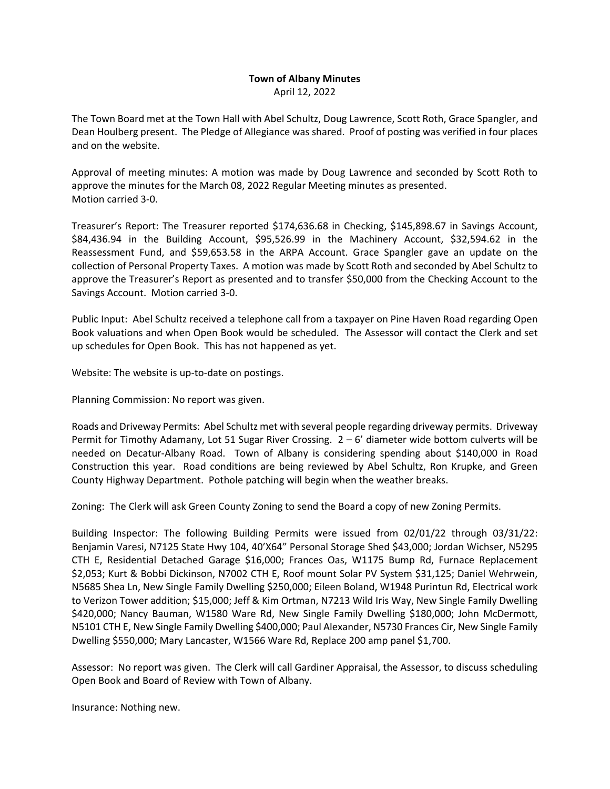## **Town of Albany Minutes** April 12, 2022

The Town Board met at the Town Hall with Abel Schultz, Doug Lawrence, Scott Roth, Grace Spangler, and Dean Houlberg present. The Pledge of Allegiance was shared. Proof of posting was verified in four places and on the website.

Approval of meeting minutes: A motion was made by Doug Lawrence and seconded by Scott Roth to approve the minutes for the March 08, 2022 Regular Meeting minutes as presented. Motion carried 3‐0.

Treasurer's Report: The Treasurer reported \$174,636.68 in Checking, \$145,898.67 in Savings Account, \$84,436.94 in the Building Account, \$95,526.99 in the Machinery Account, \$32,594.62 in the Reassessment Fund, and \$59,653.58 in the ARPA Account. Grace Spangler gave an update on the collection of Personal Property Taxes. A motion was made by Scott Roth and seconded by Abel Schultz to approve the Treasurer's Report as presented and to transfer \$50,000 from the Checking Account to the Savings Account. Motion carried 3‐0.

Public Input: Abel Schultz received a telephone call from a taxpayer on Pine Haven Road regarding Open Book valuations and when Open Book would be scheduled. The Assessor will contact the Clerk and set up schedules for Open Book. This has not happened as yet.

Website: The website is up-to-date on postings.

Planning Commission: No report was given.

Roads and Driveway Permits: Abel Schultz met with several people regarding driveway permits. Driveway Permit for Timothy Adamany, Lot 51 Sugar River Crossing. 2 – 6' diameter wide bottom culverts will be needed on Decatur-Albany Road. Town of Albany is considering spending about \$140,000 in Road Construction this year. Road conditions are being reviewed by Abel Schultz, Ron Krupke, and Green County Highway Department. Pothole patching will begin when the weather breaks.

Zoning: The Clerk will ask Green County Zoning to send the Board a copy of new Zoning Permits.

Building Inspector: The following Building Permits were issued from 02/01/22 through 03/31/22: Benjamin Varesi, N7125 State Hwy 104, 40'X64" Personal Storage Shed \$43,000; Jordan Wichser, N5295 CTH E, Residential Detached Garage \$16,000; Frances Oas, W1175 Bump Rd, Furnace Replacement \$2,053; Kurt & Bobbi Dickinson, N7002 CTH E, Roof mount Solar PV System \$31,125; Daniel Wehrwein, N5685 Shea Ln, New Single Family Dwelling \$250,000; Eileen Boland, W1948 Purintun Rd, Electrical work to Verizon Tower addition; \$15,000; Jeff & Kim Ortman, N7213 Wild Iris Way, New Single Family Dwelling \$420,000; Nancy Bauman, W1580 Ware Rd, New Single Family Dwelling \$180,000; John McDermott, N5101 CTH E, New Single Family Dwelling \$400,000; Paul Alexander, N5730 Frances Cir, New Single Family Dwelling \$550,000; Mary Lancaster, W1566 Ware Rd, Replace 200 amp panel \$1,700.

Assessor: No report was given. The Clerk will call Gardiner Appraisal, the Assessor, to discuss scheduling Open Book and Board of Review with Town of Albany.

Insurance: Nothing new.